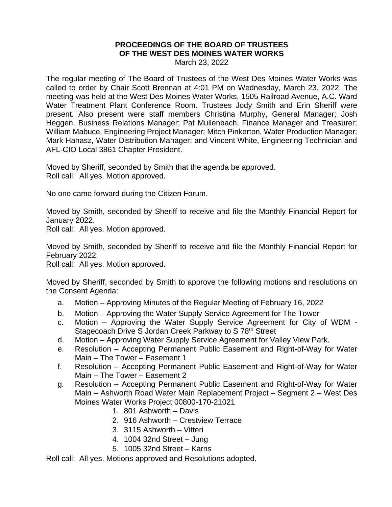## **PROCEEDINGS OF THE BOARD OF TRUSTEES OF THE WEST DES MOINES WATER WORKS**

March 23, 2022

The regular meeting of The Board of Trustees of the West Des Moines Water Works was called to order by Chair Scott Brennan at 4:01 PM on Wednesday, March 23, 2022. The meeting was held at the West Des Moines Water Works, 1505 Railroad Avenue, A.C. Ward Water Treatment Plant Conference Room. Trustees Jody Smith and Erin Sheriff were present. Also present were staff members Christina Murphy, General Manager; Josh Heggen, Business Relations Manager; Pat Mullenbach, Finance Manager and Treasurer; William Mabuce, Engineering Project Manager; Mitch Pinkerton, Water Production Manager; Mark Hanasz, Water Distribution Manager; and Vincent White, Engineering Technician and AFL-CIO Local 3861 Chapter President.

Moved by Sheriff, seconded by Smith that the agenda be approved. Roll call: All yes. Motion approved.

No one came forward during the Citizen Forum.

Moved by Smith, seconded by Sheriff to receive and file the Monthly Financial Report for January 2022.

Roll call: All yes. Motion approved.

Moved by Smith, seconded by Sheriff to receive and file the Monthly Financial Report for February 2022.

Roll call: All yes. Motion approved.

Moved by Sheriff, seconded by Smith to approve the following motions and resolutions on the Consent Agenda:

- a. Motion Approving Minutes of the Regular Meeting of February 16, 2022
- b. Motion Approving the Water Supply Service Agreement for The Tower
- c. Motion Approving the Water Supply Service Agreement for City of WDM Stagecoach Drive S Jordan Creek Parkway to S 78<sup>th</sup> Street
- d. Motion Approving Water Supply Service Agreement for Valley View Park.
- e. Resolution Accepting Permanent Public Easement and Right-of-Way for Water Main – The Tower – Easement 1
- f. Resolution Accepting Permanent Public Easement and Right-of-Way for Water Main – The Tower – Easement 2
- g. Resolution Accepting Permanent Public Easement and Right-of-Way for Water Main – Ashworth Road Water Main Replacement Project – Segment 2 – West Des Moines Water Works Project 00800-170-21021
	- 1. 801 Ashworth Davis
	- 2. 916 Ashworth Crestview Terrace
	- 3. 3115 Ashworth Vitteri
	- 4. 1004 32nd Street Jung
	- 5. 1005 32nd Street Karns

Roll call: All yes. Motions approved and Resolutions adopted.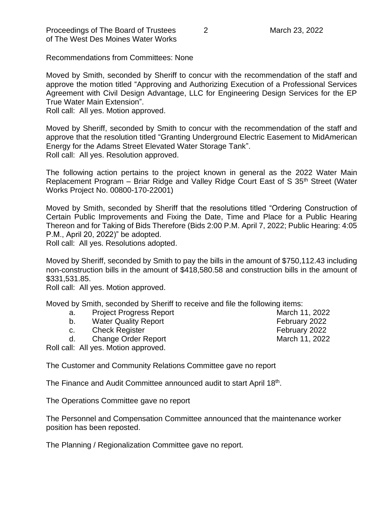Proceedings of The Board of Trustees 2 March 23, 2022 of The West Des Moines Water Works

Recommendations from Committees: None

Moved by Smith, seconded by Sheriff to concur with the recommendation of the staff and approve the motion titled "Approving and Authorizing Execution of a Professional Services Agreement with Civil Design Advantage, LLC for Engineering Design Services for the EP True Water Main Extension".

Roll call: All yes. Motion approved.

Moved by Sheriff, seconded by Smith to concur with the recommendation of the staff and approve that the resolution titled "Granting Underground Electric Easement to MidAmerican Energy for the Adams Street Elevated Water Storage Tank". Roll call: All yes. Resolution approved.

The following action pertains to the project known in general as the 2022 Water Main Replacement Program – Briar Ridge and Valley Ridge Court East of S 35<sup>th</sup> Street (Water Works Project No. 00800-170-22001)

Moved by Smith, seconded by Sheriff that the resolutions titled "Ordering Construction of Certain Public Improvements and Fixing the Date, Time and Place for a Public Hearing Thereon and for Taking of Bids Therefore (Bids 2:00 P.M. April 7, 2022; Public Hearing: 4:05 P.M., April 20, 2022)" be adopted.

Roll call: All yes. Resolutions adopted.

Moved by Sheriff, seconded by Smith to pay the bills in the amount of \$750,112.43 including non-construction bills in the amount of \$418,580.58 and construction bills in the amount of \$331,531.85.

Roll call: All yes. Motion approved.

Moved by Smith, seconded by Sheriff to receive and file the following items:

- a. Project Progress Report **March 11, 2022**
- b. Water Quality Report **February 2022**
- c. Check Register **Check Register February 2022**
- d. Change Order Report **March 11, 2022**
- Roll call: All yes. Motion approved.

The Customer and Community Relations Committee gave no report

The Finance and Audit Committee announced audit to start April 18<sup>th</sup>.

The Operations Committee gave no report

The Personnel and Compensation Committee announced that the maintenance worker position has been reposted.

The Planning / Regionalization Committee gave no report.